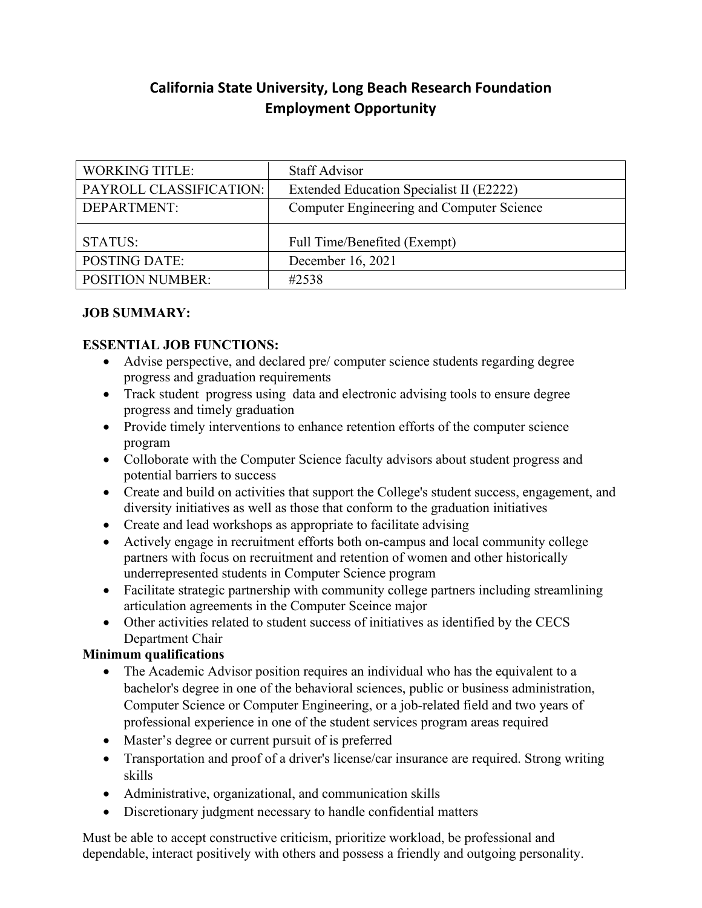# **California State University, Long Beach Research Foundation Employment Opportunity**

| <b>WORKING TITLE:</b>   | <b>Staff Advisor</b>                      |
|-------------------------|-------------------------------------------|
| PAYROLL CLASSIFICATION: | Extended Education Specialist II (E2222)  |
| DEPARTMENT:             | Computer Engineering and Computer Science |
|                         |                                           |
| STATUS:                 | Full Time/Benefited (Exempt)              |
| <b>POSTING DATE:</b>    | December 16, 2021                         |

# **JOB SUMMARY:**

# **ESSENTIAL JOB FUNCTIONS:**

- Advise perspective, and declared pre/ computer science students regarding degree progress and graduation requirements
- Track student progress using data and electronic advising tools to ensure degree progress and timely graduation
- Provide timely interventions to enhance retention efforts of the computer science program
- Colloborate with the Computer Science faculty advisors about student progress and potential barriers to success
- Create and build on activities that support the College's student success, engagement, and diversity initiatives as well as those that conform to the graduation initiatives
- Create and lead workshops as appropriate to facilitate advising
- Actively engage in recruitment efforts both on-campus and local community college partners with focus on recruitment and retention of women and other historically underrepresented students in Computer Science program
- Facilitate strategic partnership with community college partners including streamlining articulation agreements in the Computer Sceince major
- Other activities related to student success of initiatives as identified by the CECS Department Chair

# **Minimum qualifications**

- The Academic Advisor position requires an individual who has the equivalent to a bachelor's degree in one of the behavioral sciences, public or business administration, Computer Science or Computer Engineering, or a job-related field and two years of professional experience in one of the student services program areas required
- Master's degree or current pursuit of is preferred
- Transportation and proof of a driver's license/car insurance are required. Strong writing skills
- Administrative, organizational, and communication skills
- Discretionary judgment necessary to handle confidential matters

Must be able to accept constructive criticism, prioritize workload, be professional and dependable, interact positively with others and possess a friendly and outgoing personality.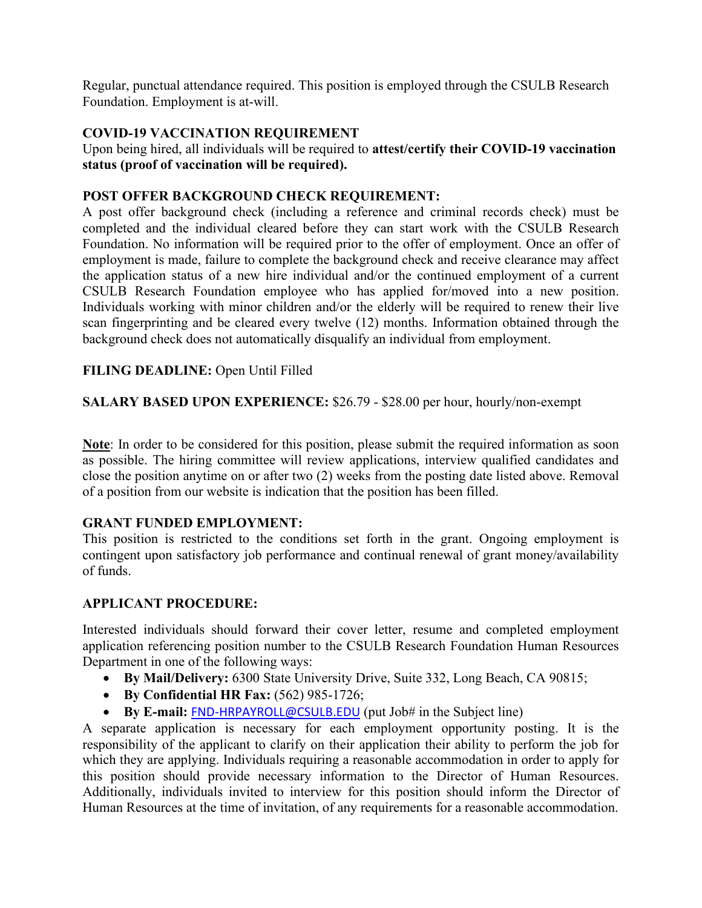Regular, punctual attendance required. This position is employed through the CSULB Research Foundation. Employment is at-will.

# **COVID-19 VACCINATION REQUIREMENT**

# Upon being hired, all individuals will be required to **attest/certify their COVID-19 vaccination status (proof of vaccination will be required).**

# **POST OFFER BACKGROUND CHECK REQUIREMENT:**

A post offer background check (including a reference and criminal records check) must be completed and the individual cleared before they can start work with the CSULB Research Foundation. No information will be required prior to the offer of employment. Once an offer of employment is made, failure to complete the background check and receive clearance may affect the application status of a new hire individual and/or the continued employment of a current CSULB Research Foundation employee who has applied for/moved into a new position. Individuals working with minor children and/or the elderly will be required to renew their live scan fingerprinting and be cleared every twelve (12) months. Information obtained through the background check does not automatically disqualify an individual from employment.

# FILING DEADLINE: Open Until Filled

**SALARY BASED UPON EXPERIENCE:** \$26.79 - \$28.00 per hour, hourly/non-exempt

**Note**: In order to be considered for this position, please submit the required information as soon as possible. The hiring committee will review applications, interview qualified candidates and close the position anytime on or after two (2) weeks from the posting date listed above. Removal of a position from our website is indication that the position has been filled.

# **GRANT FUNDED EMPLOYMENT:**

This position is restricted to the conditions set forth in the grant. Ongoing employment is contingent upon satisfactory job performance and continual renewal of grant money/availability of funds.

# **APPLICANT PROCEDURE:**

Interested individuals should forward their cover letter, resume and completed employment application referencing position number to the CSULB Research Foundation Human Resources Department in one of the following ways:

- **By Mail/Delivery:** 6300 State University Drive, Suite 332, Long Beach, CA 90815;
- **By Confidential HR Fax:** (562) 985-1726;
- **By E-mail:** [FND-HRPAYROLL@CSULB.EDU](mailto:FND-HRPAYROLL@CSULB.EDU) (put Job# in the Subject line)

A separate application is necessary for each employment opportunity posting. It is the responsibility of the applicant to clarify on their application their ability to perform the job for which they are applying. Individuals requiring a reasonable accommodation in order to apply for this position should provide necessary information to the Director of Human Resources. Additionally, individuals invited to interview for this position should inform the Director of Human Resources at the time of invitation, of any requirements for a reasonable accommodation.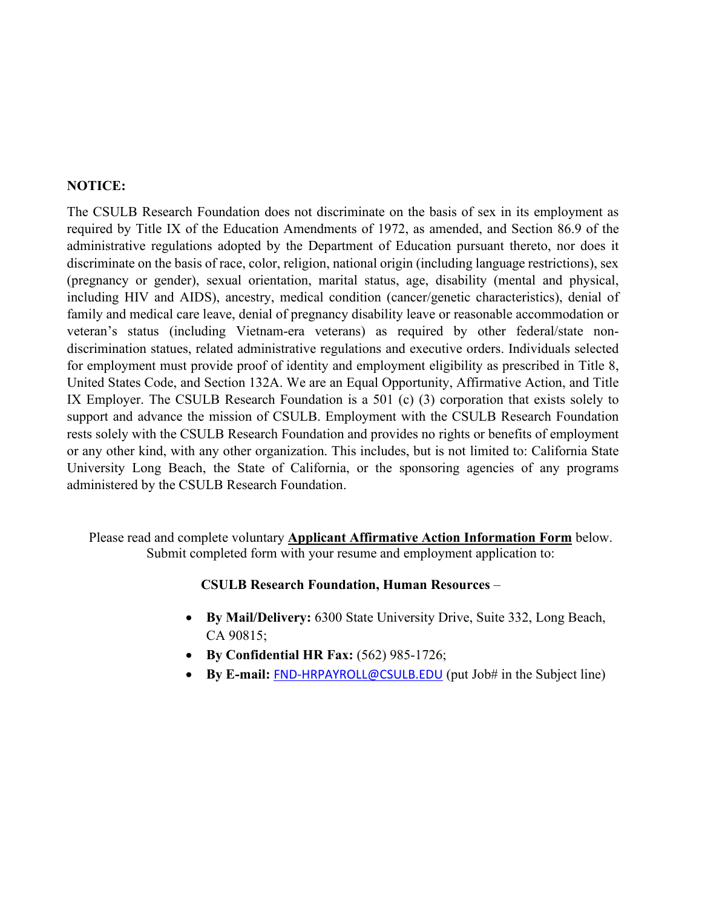## **NOTICE:**

The CSULB Research Foundation does not discriminate on the basis of sex in its employment as required by Title IX of the Education Amendments of 1972, as amended, and Section 86.9 of the administrative regulations adopted by the Department of Education pursuant thereto, nor does it discriminate on the basis of race, color, religion, national origin (including language restrictions), sex (pregnancy or gender), sexual orientation, marital status, age, disability (mental and physical, including HIV and AIDS), ancestry, medical condition (cancer/genetic characteristics), denial of family and medical care leave, denial of pregnancy disability leave or reasonable accommodation or veteran's status (including Vietnam-era veterans) as required by other federal/state nondiscrimination statues, related administrative regulations and executive orders. Individuals selected for employment must provide proof of identity and employment eligibility as prescribed in Title 8, United States Code, and Section 132A. We are an Equal Opportunity, Affirmative Action, and Title IX Employer. The CSULB Research Foundation is a 501 (c) (3) corporation that exists solely to support and advance the mission of CSULB. Employment with the CSULB Research Foundation rests solely with the CSULB Research Foundation and provides no rights or benefits of employment or any other kind, with any other organization. This includes, but is not limited to: California State University Long Beach, the State of California, or the sponsoring agencies of any programs administered by the CSULB Research Foundation.

Please read and complete voluntary **Applicant Affirmative Action Information Form** below. Submit completed form with your resume and employment application to:

## **CSULB Research Foundation, Human Resources** –

- **By Mail/Delivery:** 6300 State University Drive, Suite 332, Long Beach, CA 90815;
- **By Confidential HR Fax:** (562) 985-1726;
- **By E-mail: [FND-HRPAYROLL@CSULB.EDU](mailto:FND-HRPAYROLL@CSULB.EDU)** (put Job# in the Subject line)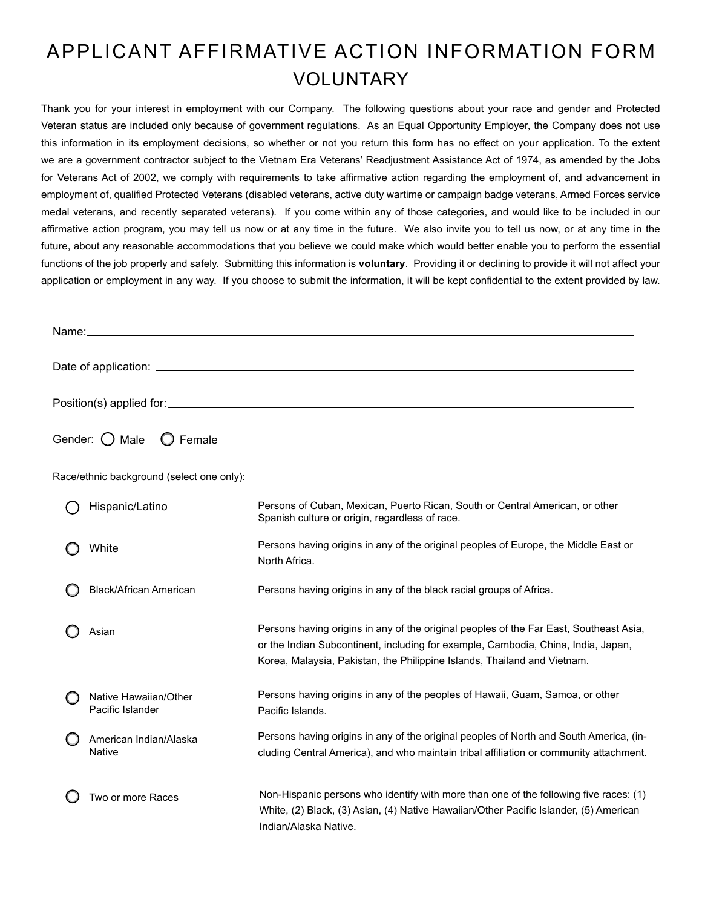# APPLICANT AFFIRMATIVE ACTION INFORMATION FORM VOLUNTARY

Thank you for your interest in employment with our Company. The following questions about your race and gender and Protected Veteran status are included only because of government regulations. As an Equal Opportunity Employer, the Company does not use this information in its employment decisions, so whether or not you return this form has no effect on your application. To the extent we are a government contractor subject to the Vietnam Era Veterans' Readjustment Assistance Act of 1974, as amended by the Jobs for Veterans Act of 2002, we comply with requirements to take affirmative action regarding the employment of, and advancement in employment of, qualified Protected Veterans (disabled veterans, active duty wartime or campaign badge veterans, Armed Forces service medal veterans, and recently separated veterans). If you come within any of those categories, and would like to be included in our affirmative action program, you may tell us now or at any time in the future. We also invite you to tell us now, or at any time in the future, about any reasonable accommodations that you believe we could make which would better enable you to perform the essential functions of the job properly and safely. Submitting this information is **voluntary**. Providing it or declining to provide it will not affect your application or employment in any way. If you choose to submit the information, it will be kept confidential to the extent provided by law.

|  | Gender: () Male<br>$\bigcirc$ Female      |                                                                                                                                                                                                                                                         |  |
|--|-------------------------------------------|---------------------------------------------------------------------------------------------------------------------------------------------------------------------------------------------------------------------------------------------------------|--|
|  | Race/ethnic background (select one only): |                                                                                                                                                                                                                                                         |  |
|  | Hispanic/Latino                           | Persons of Cuban, Mexican, Puerto Rican, South or Central American, or other<br>Spanish culture or origin, regardless of race.                                                                                                                          |  |
|  | White                                     | Persons having origins in any of the original peoples of Europe, the Middle East or<br>North Africa.                                                                                                                                                    |  |
|  | <b>Black/African American</b>             | Persons having origins in any of the black racial groups of Africa.                                                                                                                                                                                     |  |
|  | Asian                                     | Persons having origins in any of the original peoples of the Far East, Southeast Asia,<br>or the Indian Subcontinent, including for example, Cambodia, China, India, Japan,<br>Korea, Malaysia, Pakistan, the Philippine Islands, Thailand and Vietnam. |  |
|  | Native Hawaiian/Other<br>Pacific Islander | Persons having origins in any of the peoples of Hawaii, Guam, Samoa, or other<br>Pacific Islands.                                                                                                                                                       |  |
|  | American Indian/Alaska<br>Native          | Persons having origins in any of the original peoples of North and South America, (in-<br>cluding Central America), and who maintain tribal affiliation or community attachment.                                                                        |  |
|  | Two or more Races                         | Non-Hispanic persons who identify with more than one of the following five races: (1)<br>White, (2) Black, (3) Asian, (4) Native Hawaiian/Other Pacific Islander, (5) American<br>Indian/Alaska Native.                                                 |  |